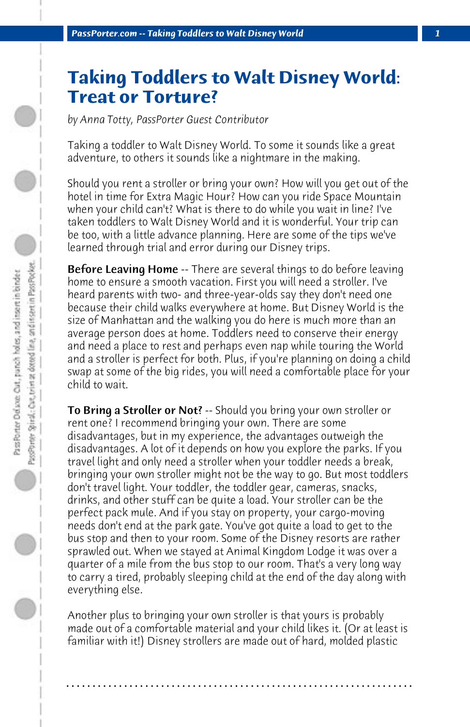## **Taking Toddlers to Walt Disney World: Treat or Torture?**

*by Anna Totty, PassPorter Guest Contributor*

Taking a toddler to Walt Disney World. To some it sounds like a great adventure, to others it sounds like a nightmare in the making.

Should you rent a stroller or bring your own? How will you get out of the hotel in time for Extra Magic Hour? How can you ride Space Mountain when your child can't? What is there to do while you wait in line? I've taken toddlers to Walt Disney World and it is wonderful. Your trip can be too, with a little advance planning. Here are some of the tips we've learned through trial and error during our Disney trips.

**Before Leaving Home** -- There are several things to do before leaving home to ensure a smooth vacation. First you will need a stroller. I've heard parents with two- and three-year-olds say they don't need one because their child walks everywhere at home. But Disney World is the size of Manhattan and the walking you do here is much more than an average person does at home. Toddlers need to conserve their energy and need a place to rest and perhaps even nap while touring the World and a stroller is perfect for both. Plus, if you're planning on doing a child swap at some of the big rides, you will need a comfortable place for your child to wait.

**To Bring a Stroller or Not**? -- Should you bring your own stroller or rent one? I recommend bringing your own. There are some disadvantages, but in my experience, the advantages outweigh the disadvantages. A lot of it depends on how you explore the parks. If you travel light and only need a stroller when your toddler needs a break, bringing your own stroller might not be the way to go. But most toddlers don't travel light. Your toddler, the toddler gear, cameras, snacks, drinks, and other stuff can be quite a load. Your stroller can be the perfect pack mule. And if you stay on property, your cargo-moving needs don't end at the park gate. You've got quite a load to get to the bus stop and then to your room. Some of the Disney resorts are rather sprawled out. When we stayed at Animal Kingdom Lodge it was over a quarter of a mile from the bus stop to our room. That's a very long way to carry a tired, probably sleeping child at the end of the day along with everything else.

Another plus to bringing your own stroller is that yours is probably made out of a comfortable material and your child likes it. (Or at least is familiar with it!) Disney strollers are made out of hard, molded plastic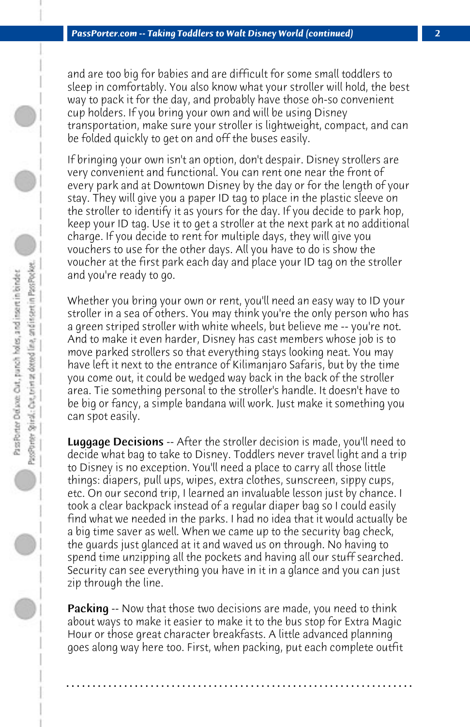and are too big for babies and are difficult for some small toddlers to sleep in comfortably. You also know what your stroller will hold, the best way to pack it for the day, and probably have those oh-so convenient cup holders. If you bring your own and will be using Disney transportation, make sure your stroller is lightweight, compact, and can be folded quickly to get on and off the buses easily.

If bringing your own isn't an option, don't despair. Disney strollers are very convenient and functional. You can rent one near the front of every park and at Downtown Disney by the day or for the length of your stay. They will give you a paper ID tag to place in the plastic sleeve on the stroller to identify it as yours for the day. If you decide to park hop, keep your ID tag. Use it to get a stroller at the next park at no additional charge. If you decide to rent for multiple days, they will give you vouchers to use for the other days. All you have to do is show the voucher at the first park each day and place your ID tag on the stroller and you're ready to go.

Whether you bring your own or rent, you'll need an easy way to ID your stroller in a sea of others. You may think you're the only person who has a green striped stroller with white wheels, but believe me -- you're not. And to make it even harder, Disney has cast members whose job is to move parked strollers so that everything stays looking neat. You may have left it next to the entrance of Kilimanjaro Safaris, but by the time you come out, it could be wedged way back in the back of the stroller area. Tie something personal to the stroller's handle. It doesn't have to be big or fancy, a simple bandana will work. Just make it something you can spot easily.

**Luggage Decisions** -- After the stroller decision is made, you'll need to decide what bag to take to Disney. Toddlers never travel light and a trip to Disney is no exception. You'll need a place to carry all those little things: diapers, pull ups, wipes, extra clothes, sunscreen, sippy cups, etc. On our second trip, I learned an invaluable lesson just by chance. I took a clear backpack instead of a regular diaper bag so I could easily find what we needed in the parks. I had no idea that it would actually be a big time saver as well. When we came up to the security bag check, the guards just glanced at it and waved us on through. No having to spend time unzipping all the pockets and having all our stuff searched. Security can see everything you have in it in a glance and you can just zip through the line.

Packing -- Now that those two decisions are made, you need to think about ways to make it easier to make it to the bus stop for Extra Magic Hour or those great character breakfasts. A little advanced planning goes along way here too. First, when packing, put each complete outfit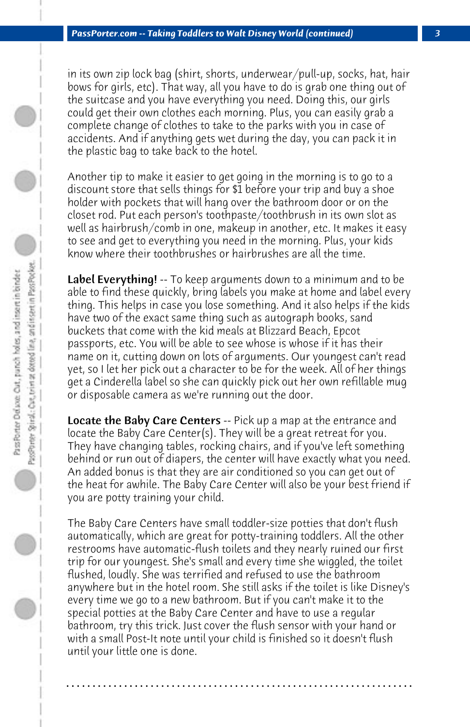in its own zip lock bag (shirt, shorts, underwear/pull-up, socks, hat, hair bows for girls, etc). That way, all you have to do is grab one thing out of the suitcase and you have everything you need. Doing this, our girls could get their own clothes each morning. Plus, you can easily grab a complete change of clothes to take to the parks with you in case of accidents. And if anything gets wet during the day, you can pack it in the plastic bag to take back to the hotel.

Another tip to make it easier to get going in the morning is to go to a discount store that sells things for \$1 before your trip and buy a shoe holder with pockets that will hang over the bathroom door or on the closet rod. Put each person's toothpaste/toothbrush in its own slot as well as hairbrush/comb in one, makeup in another, etc. It makes it easy to see and get to everything you need in the morning. Plus, your kids know where their toothbrushes or hairbrushes are all the time.

Label Everything! -- To keep arguments down to a minimum and to be able to find these quickly, bring labels you make at home and label every thing. This helps in case you lose something. And it also helps if the kids have two of the exact same thing such as autograph books, sand buckets that come with the kid meals at Blizzard Beach, Epcot passports, etc. You will be able to see whose is whose if it has their name on it, cutting down on lots of arguments. Our youngest can't read yet, so I let her pick out a character to be for the week. All of her things get a Cinderella label so she can quickly pick out her own refillable mug or disposable camera as we're running out the door.

**Locate the Baby Care Centers** -- Pick up a map at the entrance and locate the Baby Care Center(s). They will be a great retreat for you. They have changing tables, rocking chairs, and if you've left something behind or run out of diapers, the center will have exactly what you need. An added bonus is that they are air conditioned so you can get out of the heat for awhile. The Baby Care Center will also be your best friend if you are potty training your child.

The Baby Care Centers have small toddler-size potties that don't flush automatically, which are great for potty-training toddlers. All the other restrooms have automatic-flush toilets and they nearly ruined our first trip for our youngest. She's small and every time she wiggled, the toilet flushed, loudly. She was terrified and refused to use the bathroom anywhere but in the hotel room. She still asks if the toilet is like Disney's every time we go to a new bathroom. But if you can't make it to the special potties at the Baby Care Center and have to use a regular bathroom, try this trick. Just cover the flush sensor with your hand or with a small Post-It note until your child is finished so it doesn't flush until your little one is done.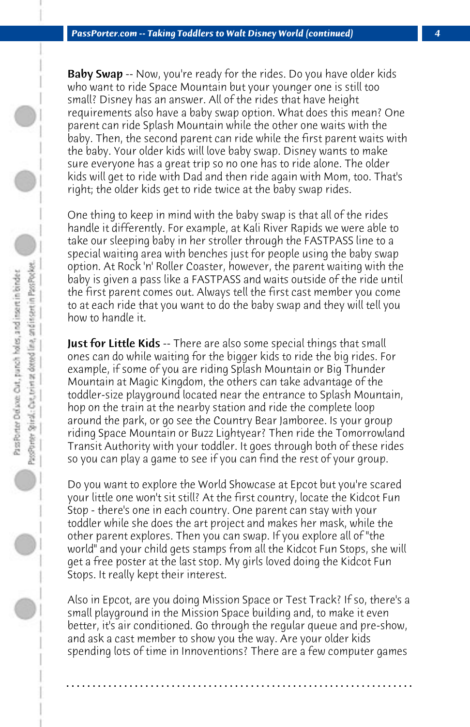Baby Swap -- Now, you're ready for the rides. Do you have older kids who want to ride Space Mountain but your younger one is still too small? Disney has an answer. All of the rides that have height requirements also have a baby swap option. What does this mean? One parent can ride Splash Mountain while the other one waits with the baby. Then, the second parent can ride while the first parent waits with the baby. Your older kids will love baby swap. Disney wants to make sure everyone has a great trip so no one has to ride alone. The older kids will get to ride with Dad and then ride again with Mom, too. That's right; the older kids get to ride twice at the baby swap rides.

One thing to keep in mind with the baby swap is that all of the rides handle it differently. For example, at Kali River Rapids we were able to take our sleeping baby in her stroller through the FASTPASS line to a special waiting area with benches just for people using the baby swap option. At Rock 'n' Roller Coaster, however, the parent waiting with the baby is given a pass like a FASTPASS and waits outside of the ride until the first parent comes out. Always tell the first cast member you come to at each ride that you want to do the baby swap and they will tell you how to handle it.

**Just for Little Kids** -- There are also some special things that small ones can do while waiting for the bigger kids to ride the big rides. For example, if some of you are riding Splash Mountain or Big Thunder Mountain at Magic Kingdom, the others can take advantage of the toddler-size playground located near the entrance to Splash Mountain, hop on the train at the nearby station and ride the complete loop around the park, or go see the Country Bear Jamboree. Is your group riding Space Mountain or Buzz Lightyear? Then ride the Tomorrowland Transit Authority with your toddler. It goes through both of these rides so you can play a game to see if you can find the rest of your group.

Do you want to explore the World Showcase at Epcot but you're scared your little one won't sit still? At the first country, locate the Kidcot Fun Stop - there's one in each country. One parent can stay with your toddler while she does the art project and makes her mask, while the other parent explores. Then you can swap. If you explore all of "the world" and your child gets stamps from all the Kidcot Fun Stops, she will get a free poster at the last stop. My girls loved doing the Kidcot Fun Stops. It really kept their interest.

Also in Epcot, are you doing Mission Space or Test Track? If so, there's a small playground in the Mission Space building and, to make it even better, it's air conditioned. Go through the regular queue and pre-show, and ask a cast member to show you the way. Are your older kids spending lots of time in Innoventions? There are a few computer games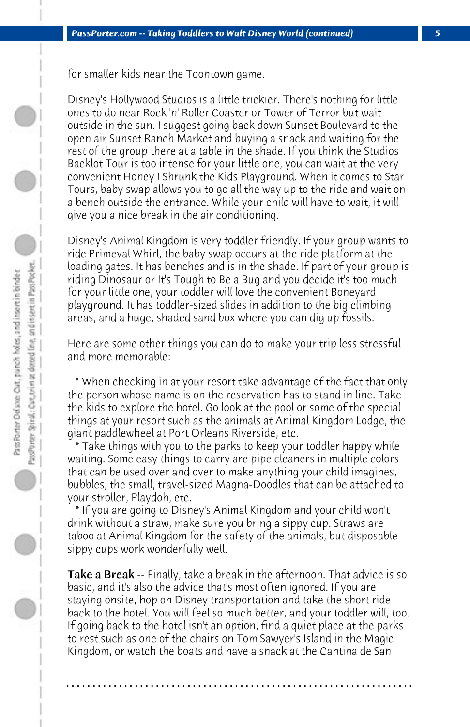for smaller kids near the Toontown game.

Disney's Hollywood Studios is a little trickier. There's nothing for little ones to do near Rock 'n' Roller Coaster or Tower of Terror but wait outside in the sun. I suggest going back down Sunset Boulevard to the open air Sunset Ranch Market and buying a snack and waiting for the rest of the group there at a table in the shade. If you think the Studios Backlot Tour is too intense for your little one, you can wait at the very convenient Honey I Shrunk the Kids Playground. When it comes to Star Tours, baby swap allows you to go all the way up to the ride and wait on a bench outside the entrance. While your child will have to wait, it will give you a nice break in the air conditioning.

Disney's Animal Kingdom is very toddler friendly. If your group wants to ride Primeval Whirl, the baby swap occurs at the ride platform at the loading gates. It has benches and is in the shade. If part of your group is riding Dinosaur or It's Tough to Be a Bug and you decide it's too much for your little one, your toddler will love the convenient Boneyard playground. It has toddler-sized slides in addition to the big climbing areas, and a huge, shaded sand box where you can dig up fossils.

Here are some other things you can do to make your trip less stressful and more memorable:

 \* When checking in at your resort take advantage of the fact that only the person whose name is on the reservation has to stand in line. Take the kids to explore the hotel. Go look at the pool or some of the special things at your resort such as the animals at Animal Kingdom Lodge, the giant paddlewheel at Port Orleans Riverside, etc.

 \* Take things with you to the parks to keep your toddler happy while waiting. Some easy things to carry are pipe cleaners in multiple colors that can be used over and over to make anything your child imagines, bubbles, the small, travel-sized Magna-Doodles that can be attached to your stroller, Playdoh, etc.

 \* If you are going to Disney's Animal Kingdom and your child won't drink without a straw, make sure you bring a sippy cup. Straws are taboo at Animal Kingdom for the safety of the animals, but disposable sippy cups work wonderfully well.

Take a Break -- Finally, take a break in the afternoon. That advice is so basic, and it's also the advice that's most often ignored. If you are staying onsite, hop on Disney transportation and take the short ride back to the hotel. You will feel so much better, and your toddler will, too. If going back to the hotel isn't an option, find a quiet place at the parks to rest such as one of the chairs on Tom Sawyer's Island in the Magic Kingdom, or watch the boats and have a snack at the Cantina de San